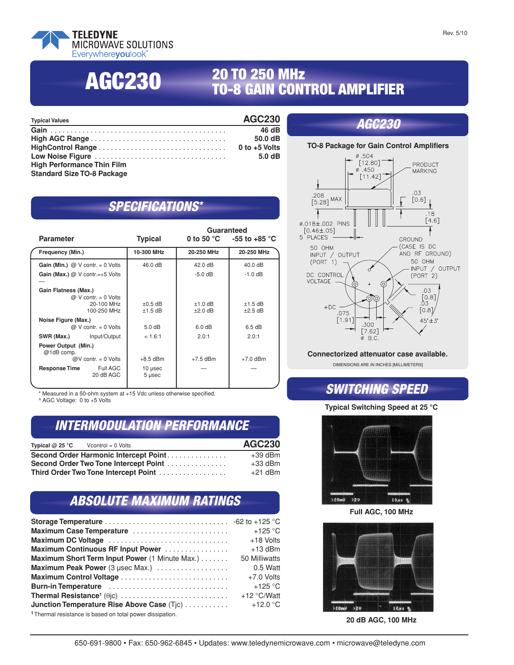

**AGC230**

# **20 TO 250 MHz TO-8 GAIN CONTROL AMPLIFIER**

| <b>Typical Values</b>             | <b>AGC230</b>   | <i><b>AGC230</b></i>                                                                                                             |
|-----------------------------------|-----------------|----------------------------------------------------------------------------------------------------------------------------------|
|                                   | 46 dB           |                                                                                                                                  |
|                                   | 50.0 dB         |                                                                                                                                  |
|                                   | 0 to $+5$ Volts | <b>TO-8 Package for Gain Control Amplific</b>                                                                                    |
|                                   | 5.0dB           |                                                                                                                                  |
| <b>High Performance Thin Film</b> |                 | $\begin{array}{c}\n\bullet .504 \\ [12.80] \rightarrow \\ \bullet .450 \\ [-6.11.42] \rightarrow\n\end{array}$<br><b>PRODUCT</b> |
| <b>Standard Size TO-8 Package</b> |                 | - MARKING                                                                                                                        |

## *SPECIFICATIONS\**

|                                                                            |                           | Guaranteed             |                                            |  |  |
|----------------------------------------------------------------------------|---------------------------|------------------------|--------------------------------------------|--|--|
| <b>Parameter</b>                                                           | <b>Typical</b>            |                        | 0 to 50 °C $-55$ to $+85$ °C<br>20-250 MHz |  |  |
| Frequency (Min.)                                                           | 10-300 MHz                | 20-250 MHz             |                                            |  |  |
| <b>Gain (Min.)</b> @ $V$ contr. = 0 Volts                                  | 46.0 dB                   | 42.0 dB                |                                            |  |  |
| Gain (Max.) $@V$ contr.=+5 Volts                                           |                           | $-5.0$ dB              |                                            |  |  |
| Gain Flatness (Max.)<br>$@V$ contr. = 0 Volts<br>20-100 MHz<br>100-250 MHz | $\pm 0.5$ dB<br>$±1.5$ dB | $±1.0$ dB<br>$±2.0$ dB | $±1.5$ dB<br>$\pm 2.5$ dB                  |  |  |
| Noise Figure (Max.)<br>$@V$ contr. = 0 Volts                               | 5.0 <sub>d</sub> B        | 6.0 dB                 | 6.5 dB                                     |  |  |
| Input/Output<br>SWR (Max.)                                                 | < 1.6:1                   | 2.0:1                  | 2.0:1                                      |  |  |
| Power Output (Min.)<br>@1dB comp.                                          |                           |                        |                                            |  |  |
| @V contr. = 0 Volts                                                        | $+8.5$ dBm                | $+7.5$ dBm             | $+7.0$ dBm                                 |  |  |
| Full AGC<br><b>Response Time</b><br>20 dB AGC                              | 10 usec<br>$5$ µsec       |                        |                                            |  |  |
|                                                                            |                           |                        |                                            |  |  |

\* Measured in a 50-ohm system at +15 Vdc unless otherwise specified.

^ AGC Voltage: 0 to +5 Volts

### *INTERMODULATION PERFORMANCE*

| Typical $@$ 25 °C<br>Vcontrol = $0$ Volts | <b>AGC230</b> |
|-------------------------------------------|---------------|
| Second Order Harmonic Intercept Point     | $+39$ dBm     |
| Second Order Two Tone Intercept Point     | +33 dBm       |
| Third Order Two Tone Intercept Point      | $+21$ dBm     |

# *ABSOLUTE MAXIMUM RATINGS*

| Maximum Case Temperature                                                                                        | $+125$ °C      |
|-----------------------------------------------------------------------------------------------------------------|----------------|
| Maximum DC Voltage                                                                                              | +18 Volts      |
| Maximum Continuous RF Input Power                                                                               | $+13$ dBm      |
| Maximum Short Term Input Power (1 Minute Max.)                                                                  | 50 Milliwatts  |
| Maximum Peak Power (3 µsec Max.)                                                                                | 0.5 Watt       |
|                                                                                                                 | $+7.0$ Volts   |
| Burn-in Temperature                                                                                             | $+125$ °C      |
| <b>Thermal Resistance</b> <sup>1</sup> ( $\theta$ jc) $\ldots \ldots \ldots \ldots \ldots \ldots \ldots \ldots$ | $+12 °C/W$ att |
| Junction Temperature Rise Above Case (Tjc)                                                                      | $+12.0 °C$     |
| 1 Thermal resistance is based on total power discipation                                                        |                |

**<sup>1</sup>**Thermal resistance is based on total power dissipation.



### **Connectorized attenuator case available.**

DIMENSIONS ARE IN INCHES [MILLIMETERS]

## *SWITCHING SPEED*

**Typical Switching Speed at 25 °C**



**Full AGC, 100 MHz**



**20 dB AGC, 100 MHz**